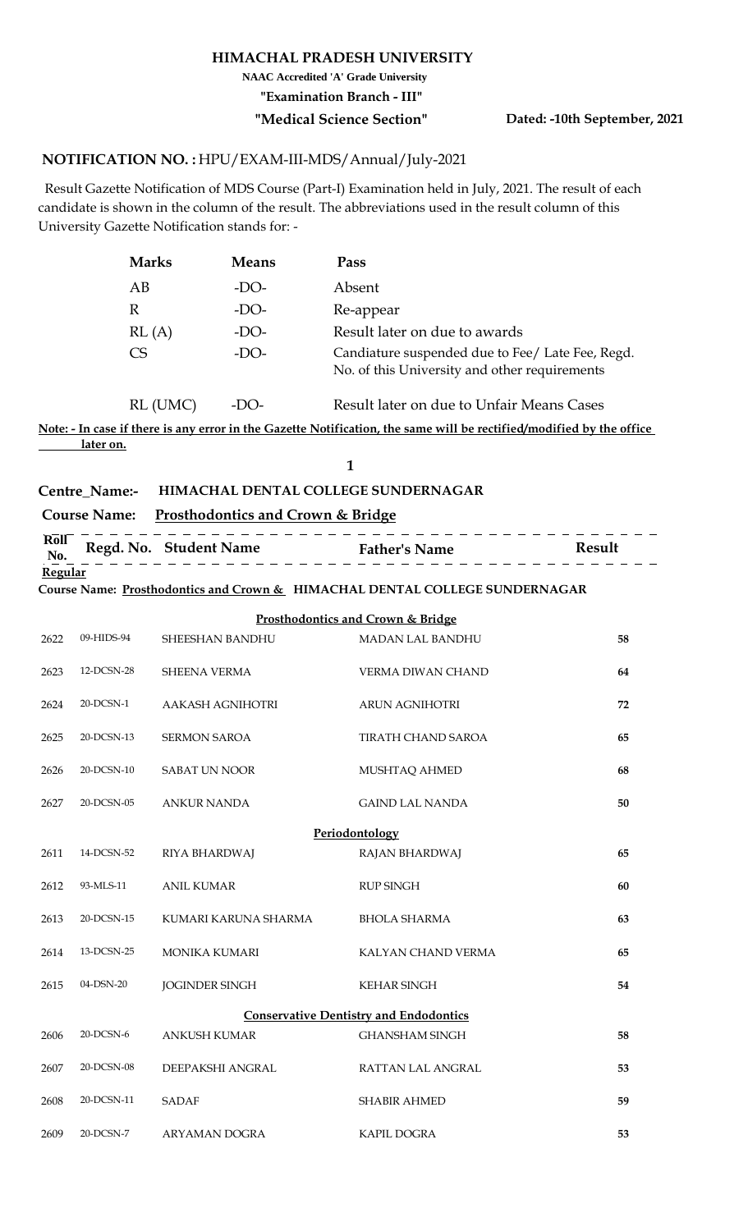#### **HIMACHAL PRADESH UNIVERSITY**

**NAAC Accredited 'A' Grade University**

**"Examination Branch - III"**

**"Medical Science Section" Dated: -10th September, 2021**

### <code>NOTIFICATION</code> NO. : HPU/EXAM-III-MDS/Annual/July-2021

 Result Gazette Notification of MDS Course (Part-I) Examination held in July, 2021. The result of each candidate is shown in the column of the result. The abbreviations used in the result column of this University Gazette Notification stands for: -

| <b>Marks</b> | <b>Means</b> | Pass                                                                                              |
|--------------|--------------|---------------------------------------------------------------------------------------------------|
| AB           | -DO-         | Absent                                                                                            |
| R            | $-DO-$       | Re-appear                                                                                         |
| RL(A)        | $-DO-$       | Result later on due to awards                                                                     |
| CS           | $-DO-$       | Candiature suspended due to Fee/ Late Fee, Regd.<br>No. of this University and other requirements |

RL (UMC) -DO-Result later on due to Unfair Means Cases

**Note: - In case if there is any error in the Gazette Notification, the same will be rectified/modified by the office later on.**

**1**

## **Centre\_Name:- HIMACHAL DENTAL COLLEGE SUNDERNAGAR**

## **Course Name: Prosthodontics and Crown & Bridge**

| Roll<br>No. | Regd. No. Student Name | <b>Father's Name</b> | Result |
|-------------|------------------------|----------------------|--------|
| Regular     |                        |                      |        |

**Course Name: Prosthodontics and Crown & HIMACHAL DENTAL COLLEGE SUNDERNAGAR**

|      |            |                         | <b>Prosthodontics and Crown &amp; Bridge</b>  |    |
|------|------------|-------------------------|-----------------------------------------------|----|
| 2622 | 09-HIDS-94 | <b>SHEESHAN BANDHU</b>  | <b>MADAN LAL BANDHU</b>                       | 58 |
| 2623 | 12-DCSN-28 | <b>SHEENA VERMA</b>     | VERMA DIWAN CHAND                             | 64 |
| 2624 | 20-DCSN-1  | <b>AAKASH AGNIHOTRI</b> | <b>ARUN AGNIHOTRI</b>                         | 72 |
| 2625 | 20-DCSN-13 | <b>SERMON SAROA</b>     | <b>TIRATH CHAND SAROA</b>                     | 65 |
| 2626 | 20-DCSN-10 | <b>SABAT UN NOOR</b>    | MUSHTAQ AHMED                                 | 68 |
| 2627 | 20-DCSN-05 | <b>ANKUR NANDA</b>      | <b>GAIND LAL NANDA</b>                        | 50 |
|      |            |                         | Periodontology                                |    |
| 2611 | 14-DCSN-52 | RIYA BHARDWAJ           | RAJAN BHARDWAJ                                | 65 |
| 2612 | 93-MLS-11  | <b>ANIL KUMAR</b>       | <b>RUP SINGH</b>                              | 60 |
| 2613 | 20-DCSN-15 | KUMARI KARUNA SHARMA    | <b>BHOLA SHARMA</b>                           | 63 |
| 2614 | 13-DCSN-25 | <b>MONIKA KUMARI</b>    | KALYAN CHAND VERMA                            | 65 |
| 2615 | 04-DSN-20  | <b>JOGINDER SINGH</b>   | <b>KEHAR SINGH</b>                            | 54 |
|      |            |                         | <b>Conservative Dentistry and Endodontics</b> |    |
| 2606 | 20-DCSN-6  | <b>ANKUSH KUMAR</b>     | <b>GHANSHAM SINGH</b>                         | 58 |
| 2607 | 20-DCSN-08 | DEEPAKSHI ANGRAL        | RATTAN LAL ANGRAL                             | 53 |
| 2608 | 20-DCSN-11 | <b>SADAF</b>            | <b>SHABIR AHMED</b>                           | 59 |
| 2609 | 20-DCSN-7  | ARYAMAN DOGRA           | <b>KAPIL DOGRA</b>                            | 53 |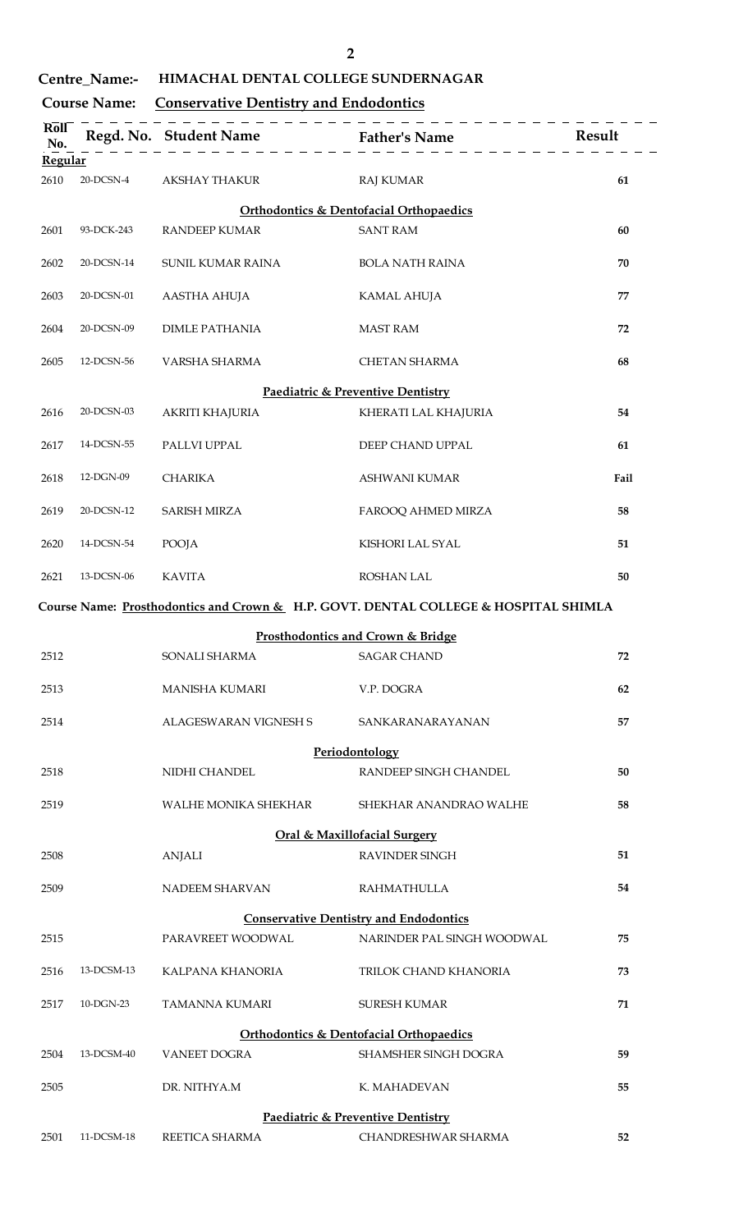| I<br>ł<br>I |
|-------------|
|             |
|             |
|             |

## **Centre\_Name:- HIMACHAL DENTAL COLLEGE SUNDERNAGAR**

## **Course Name: Conservative Dentistry and Endodontics**

| Roll<br>No.    |              | ___________________   | .<br>. _ _ _ _ _ _ _ _ _                                                            | Result |
|----------------|--------------|-----------------------|-------------------------------------------------------------------------------------|--------|
| <b>Regular</b> |              |                       |                                                                                     |        |
| 2610           | $20$ -DCSN-4 | <b>AKSHAY THAKUR</b>  | <b>RAJ KUMAR</b>                                                                    | 61     |
|                |              |                       | <b>Orthodontics &amp; Dentofacial Orthopaedics</b>                                  |        |
| 2601           | 93-DCK-243   | <b>RANDEEP KUMAR</b>  | <b>SANT RAM</b>                                                                     | 60     |
| 2602           | 20-DCSN-14   | SUNIL KUMAR RAINA     | <b>BOLA NATH RAINA</b>                                                              | 70     |
| 2603           | 20-DCSN-01   | <b>AASTHA AHUJA</b>   | <b>KAMAL AHUJA</b>                                                                  | 77     |
| 2604           | 20-DCSN-09   | <b>DIMLE PATHANIA</b> | <b>MAST RAM</b>                                                                     | 72     |
| 2605           | 12-DCSN-56   | VARSHA SHARMA         | <b>CHETAN SHARMA</b>                                                                | 68     |
|                |              |                       | Paediatric & Preventive Dentistry                                                   |        |
| 2616           | 20-DCSN-03   | AKRITI KHAJURIA       | KHERATI LAL KHAJURIA                                                                | 54     |
| 2617           | 14-DCSN-55   | PALLVI UPPAL          | DEEP CHAND UPPAL                                                                    | 61     |
| 2618           | 12-DGN-09    | <b>CHARIKA</b>        | ASHWANI KUMAR                                                                       | Fail   |
| 2619           | 20-DCSN-12   | <b>SARISH MIRZA</b>   | FAROOQ AHMED MIRZA                                                                  | 58     |
| 2620           | 14-DCSN-54   | <b>POOJA</b>          | KISHORI LAL SYAL                                                                    | 51     |
| 2621           | 13-DCSN-06   | <b>KAVITA</b>         | <b>ROSHAN LAL</b>                                                                   | 50     |
|                |              |                       | Course Name: Prosthodontics and Crown & H.P. GOVT. DENTAL COLLEGE & HOSPITAL SHIMLA |        |
|                |              |                       | Prosthodontics and Crown & Bridge                                                   |        |
| 2512           |              | SONALI SHARMA         | SAGAR CHAND                                                                         | 72     |
| 2513           |              | <b>MANISHA KUMARI</b> | V.P. DOGRA                                                                          | 62     |
| 2514           |              | ALAGESWARAN VIGNESH S | SANKARANARAYANAN                                                                    | 57     |
|                |              |                       | Periodontology                                                                      |        |
| 2518           |              | NIDHI CHANDEL         | RANDEEP SINGH CHANDEL                                                               | 50     |
| 2519           |              | WALHE MONIKA SHEKHAR  | SHEKHAR ANANDRAO WALHE                                                              | 58     |
|                |              |                       | <b>Oral &amp; Maxillofacial Surgery</b>                                             |        |
| 2508           |              | <b>ANJALI</b>         | <b>RAVINDER SINGH</b>                                                               | 51     |
| 2509           |              | NADEEM SHARVAN        | <b>RAHMATHULLA</b>                                                                  | 54     |
|                |              |                       | <b>Conservative Dentistry and Endodontics</b>                                       |        |
| 2515           |              | PARAVREET WOODWAL     | NARINDER PAL SINGH WOODWAL                                                          | 75     |
| 2516           | 13-DCSM-13   | KALPANA KHANORIA      | TRILOK CHAND KHANORIA                                                               | 73     |
| 2517           | 10-DGN-23    | TAMANNA KUMARI        | <b>SURESH KUMAR</b>                                                                 | 71     |
|                |              |                       | <b>Orthodontics &amp; Dentofacial Orthopaedics</b>                                  |        |
| 2504           | 13-DCSM-40   | <b>VANEET DOGRA</b>   | <b>SHAMSHER SINGH DOGRA</b>                                                         | 59     |
| 2505           |              | DR. NITHYA.M          | K. MAHADEVAN                                                                        | 55     |
|                |              |                       | Paediatric & Preventive Dentistry                                                   |        |
| 2501           | 11-DCSM-18   | REETICA SHARMA        | CHANDRESHWAR SHARMA                                                                 | 52     |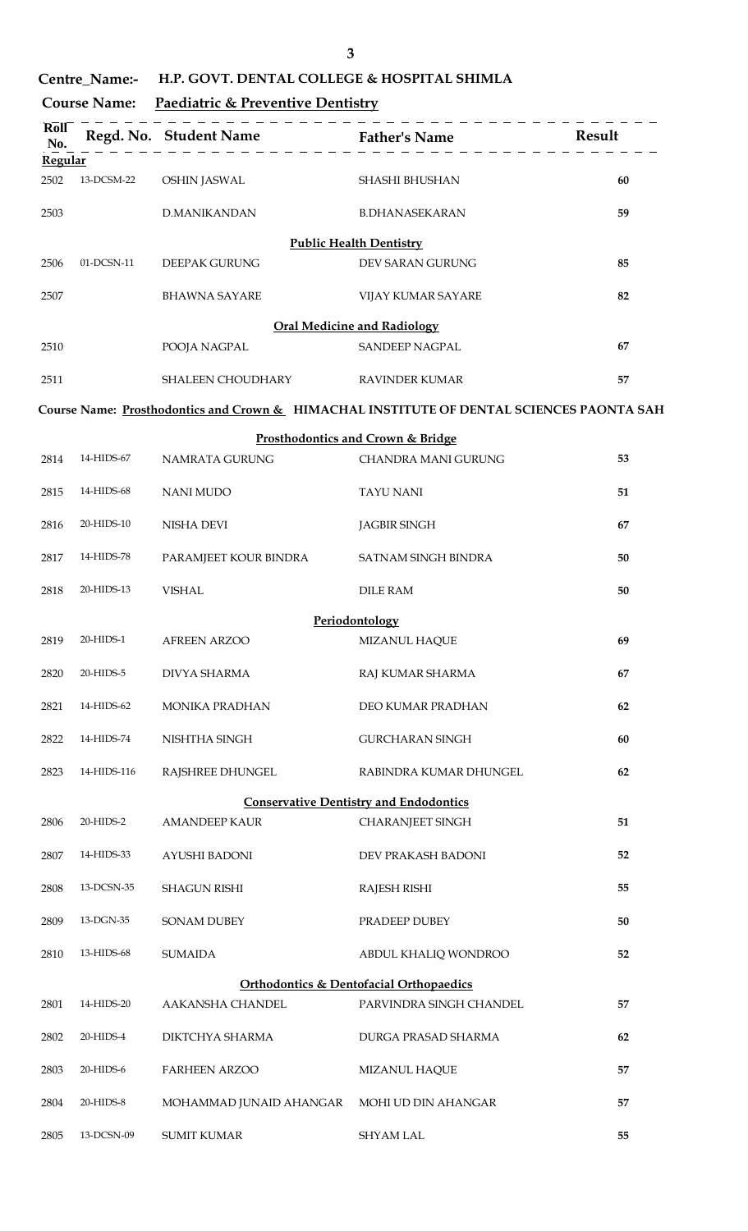| ۰.<br>×                            |
|------------------------------------|
| ۰<br>I<br>ę<br>۰.<br>۰,<br>×<br>۰. |
|                                    |

| <b>Centre Name:-</b> | H.P. GOVT. DENTAL COLLEGE & HOSPITAL SHIMLA |
|----------------------|---------------------------------------------|
|----------------------|---------------------------------------------|

| <b>Course Name:</b> | Paediatric & Preventive Dentistry |
|---------------------|-----------------------------------|
|                     |                                   |

| Roll<br>No.     |             | __________________      |                                                                                          | Result |
|-----------------|-------------|-------------------------|------------------------------------------------------------------------------------------|--------|
| Regular<br>2502 | 13-DCSM-22  | <b>OSHIN JASWAL</b>     | SHASHI BHUSHAN                                                                           | 60     |
| 2503            |             | <b>D.MANIKANDAN</b>     | <b>B.DHANASEKARAN</b>                                                                    | 59     |
|                 |             |                         | <b>Public Health Dentistry</b>                                                           |        |
| 2506            | 01-DCSN-11  | <b>DEEPAK GURUNG</b>    | DEV SARAN GURUNG                                                                         | 85     |
| 2507            |             | <b>BHAWNA SAYARE</b>    | VIJAY KUMAR SAYARE                                                                       | 82     |
|                 |             |                         | <b>Oral Medicine and Radiology</b>                                                       |        |
| 2510            |             | POOJA NAGPAL            | <b>SANDEEP NAGPAL</b>                                                                    | 67     |
| 2511            |             | SHALEEN CHOUDHARY       | <b>RAVINDER KUMAR</b>                                                                    | 57     |
|                 |             |                         | Course Name: Prosthodontics and Crown & HIMACHAL INSTITUTE OF DENTAL SCIENCES PAONTA SAH |        |
|                 |             |                         | Prosthodontics and Crown & Bridge                                                        |        |
| 2814            | 14-HIDS-67  | NAMRATA GURUNG          | <b>CHANDRA MANI GURUNG</b>                                                               | 53     |
| 2815            | 14-HIDS-68  | <b>NANI MUDO</b>        | <b>TAYU NANI</b>                                                                         | 51     |
| 2816            | 20-HIDS-10  | NISHA DEVI              | <b>JAGBIR SINGH</b>                                                                      | 67     |
| 2817            | 14-HIDS-78  | PARAMJEET KOUR BINDRA   | SATNAM SINGH BINDRA                                                                      | 50     |
| 2818            | 20-HIDS-13  | <b>VISHAL</b>           | <b>DILE RAM</b>                                                                          | 50     |
|                 |             |                         | Periodontology                                                                           |        |
| 2819            | 20-HIDS-1   | <b>AFREEN ARZOO</b>     | MIZANUL HAQUE                                                                            | 69     |
| 2820            | $20-HIDS-5$ | DIVYA SHARMA            | RAJ KUMAR SHARMA                                                                         | 67     |
| 2821            | 14-HIDS-62  | <b>MONIKA PRADHAN</b>   | DEO KUMAR PRADHAN                                                                        | 62     |
| 2822            | 14-HIDS-74  | NISHTHA SINGH           | <b>GURCHARAN SINGH</b>                                                                   | 60     |
| 2823            | 14-HIDS-116 | RAJSHREE DHUNGEL        | RABINDRA KUMAR DHUNGEL                                                                   | 62     |
|                 |             |                         | <b>Conservative Dentistry and Endodontics</b>                                            |        |
| 2806            | 20-HIDS-2   | <b>AMANDEEP KAUR</b>    | <b>CHARANJEET SINGH</b>                                                                  | 51     |
| 2807            | 14-HIDS-33  | AYUSHI BADONI           | DEV PRAKASH BADONI                                                                       | 52     |
| 2808            | 13-DCSN-35  | <b>SHAGUN RISHI</b>     | RAJESH RISHI                                                                             | 55     |
| 2809            | 13-DGN-35   | <b>SONAM DUBEY</b>      | PRADEEP DUBEY                                                                            | 50     |
| 2810            | 13-HIDS-68  | <b>SUMAIDA</b>          | ABDUL KHALIQ WONDROO                                                                     | 52     |
|                 |             |                         | Orthodontics & Dentofacial Orthopaedics                                                  |        |
| 2801            | 14-HIDS-20  | AAKANSHA CHANDEL        | PARVINDRA SINGH CHANDEL                                                                  | 57     |
| 2802            | 20-HIDS-4   | DIKTCHYA SHARMA         | DURGA PRASAD SHARMA                                                                      | 62     |
| 2803            | 20-HIDS-6   | <b>FARHEEN ARZOO</b>    | MIZANUL HAQUE                                                                            | 57     |
| 2804            | 20-HIDS-8   | MOHAMMAD JUNAID AHANGAR | MOHI UD DIN AHANGAR                                                                      | 57     |
| 2805            | 13-DCSN-09  | <b>SUMIT KUMAR</b>      | <b>SHYAM LAL</b>                                                                         | 55     |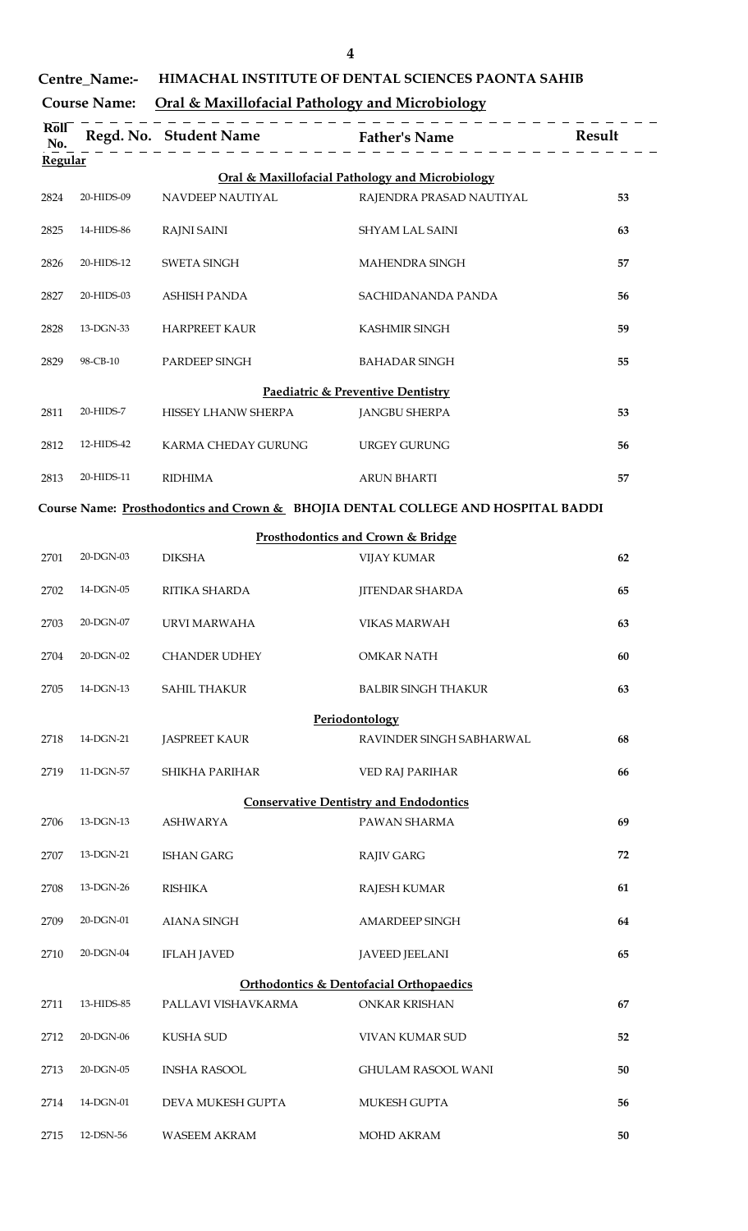| ۰. | m |  |
|----|---|--|
|    |   |  |

# **Centre\_Name:- HIMACHAL INSTITUTE OF DENTAL SCIENCES PAONTA SAHIB**

## **Course Name: Oral & Maxillofacial Pathology and Microbiology**

| Roll<br>No. |            | Regd. No. Student Name Father's Name |                                                                                  | Result |
|-------------|------------|--------------------------------------|----------------------------------------------------------------------------------|--------|
| Regular     |            |                                      |                                                                                  |        |
|             | 20-HIDS-09 | NAVDEEP NAUTIYAL                     | Oral & Maxillofacial Pathology and Microbiology<br>RAJENDRA PRASAD NAUTIYAL      |        |
| 2824        |            |                                      |                                                                                  | 53     |
| 2825        | 14-HIDS-86 | <b>RAJNI SAINI</b>                   | SHYAM LAL SAINI                                                                  | 63     |
| 2826        | 20-HIDS-12 | <b>SWETA SINGH</b>                   | <b>MAHENDRA SINGH</b>                                                            | 57     |
| 2827        | 20-HIDS-03 | <b>ASHISH PANDA</b>                  | SACHIDANANDA PANDA                                                               | 56     |
| 2828        | 13-DGN-33  | <b>HARPREET KAUR</b>                 | <b>KASHMIR SINGH</b>                                                             | 59     |
| 2829        | 98-CB-10   | PARDEEP SINGH                        | <b>BAHADAR SINGH</b>                                                             | 55     |
|             |            |                                      | Paediatric & Preventive Dentistry                                                |        |
| 2811        | 20-HIDS-7  | HISSEY LHANW SHERPA                  | <b>JANGBU SHERPA</b>                                                             | 53     |
| 2812        | 12-HIDS-42 | KARMA CHEDAY GURUNG                  | <b>URGEY GURUNG</b>                                                              | 56     |
| 2813        | 20-HIDS-11 | <b>RIDHIMA</b>                       | <b>ARUN BHARTI</b>                                                               | 57     |
|             |            |                                      | Course Name: Prosthodontics and Crown & BHOJIA DENTAL COLLEGE AND HOSPITAL BADDI |        |
|             |            |                                      | Prosthodontics and Crown & Bridge                                                |        |
| 2701        | 20-DGN-03  | <b>DIKSHA</b>                        | <b>VIJAY KUMAR</b>                                                               | 62     |
| 2702        | 14-DGN-05  | RITIKA SHARDA                        | <b>JITENDAR SHARDA</b>                                                           | 65     |
| 2703        | 20-DGN-07  | URVI MARWAHA                         | <b>VIKAS MARWAH</b>                                                              | 63     |
| 2704        | 20-DGN-02  | <b>CHANDER UDHEY</b>                 | <b>OMKAR NATH</b>                                                                | 60     |
| 2705        | 14-DGN-13  | <b>SAHIL THAKUR</b>                  | <b>BALBIR SINGH THAKUR</b>                                                       | 63     |
|             |            |                                      | Periodontology                                                                   |        |
| 2718        | 14-DGN-21  | <b>JASPREET KAUR</b>                 | RAVINDER SINGH SABHARWAL                                                         | 68     |
| 2719        | 11-DGN-57  | <b>SHIKHA PARIHAR</b>                | VED RAJ PARIHAR                                                                  | 66     |
|             |            |                                      | <b>Conservative Dentistry and Endodontics</b>                                    |        |
| 2706        | 13-DGN-13  | <b>ASHWARYA</b>                      | PAWAN SHARMA                                                                     | 69     |
| 2707        | 13-DGN-21  | <b>ISHAN GARG</b>                    | <b>RAJIV GARG</b>                                                                | 72     |
| 2708        | 13-DGN-26  | <b>RISHIKA</b>                       | <b>RAJESH KUMAR</b>                                                              | 61     |
| 2709        | 20-DGN-01  | <b>AIANA SINGH</b>                   | <b>AMARDEEP SINGH</b>                                                            | 64     |
| 2710        | 20-DGN-04  | <b>IFLAH JAVED</b>                   | <b>JAVEED JEELANI</b>                                                            | 65     |
|             |            |                                      | Orthodontics & Dentofacial Orthopaedics                                          |        |
| 2711        | 13-HIDS-85 | PALLAVI VISHAVKARMA                  | <b>ONKAR KRISHAN</b>                                                             | 67     |
| 2712        | 20-DGN-06  | <b>KUSHA SUD</b>                     | VIVAN KUMAR SUD                                                                  | 52     |
| 2713        | 20-DGN-05  | <b>INSHA RASOOL</b>                  | <b>GHULAM RASOOL WANI</b>                                                        | 50     |
| 2714        | 14-DGN-01  | DEVA MUKESH GUPTA                    | MUKESH GUPTA                                                                     | 56     |
| 2715        | 12-DSN-56  | <b>WASEEM AKRAM</b>                  | MOHD AKRAM                                                                       | 50     |